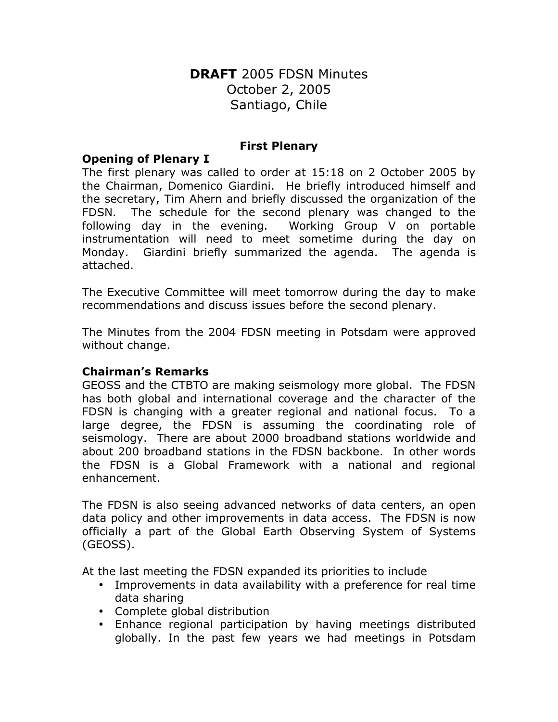# **DRAFT** 2005 FDSN Minutes October 2, 2005 Santiago, Chile

#### **First Plenary**

#### **Opening of Plenary I**

The first plenary was called to order at 15:18 on 2 October 2005 by the Chairman, Domenico Giardini. He briefly introduced himself and the secretary, Tim Ahern and briefly discussed the organization of the FDSN. The schedule for the second plenary was changed to the following day in the evening. Working Group V on portable instrumentation will need to meet sometime during the day on Monday. Giardini briefly summarized the agenda. The agenda is attached.

The Executive Committee will meet tomorrow during the day to make recommendations and discuss issues before the second plenary.

The Minutes from the 2004 FDSN meeting in Potsdam were approved without change.

### **Chairman's Remarks**

GEOSS and the CTBTO are making seismology more global. The FDSN has both global and international coverage and the character of the FDSN is changing with a greater regional and national focus. To a large degree, the FDSN is assuming the coordinating role of seismology. There are about 2000 broadband stations worldwide and about 200 broadband stations in the FDSN backbone. In other words the FDSN is a Global Framework with a national and regional enhancement.

The FDSN is also seeing advanced networks of data centers, an open data policy and other improvements in data access. The FDSN is now officially a part of the Global Earth Observing System of Systems (GEOSS).

At the last meeting the FDSN expanded its priorities to include

- Improvements in data availability with a preference for real time data sharing
- Complete global distribution
- Enhance regional participation by having meetings distributed globally. In the past few years we had meetings in Potsdam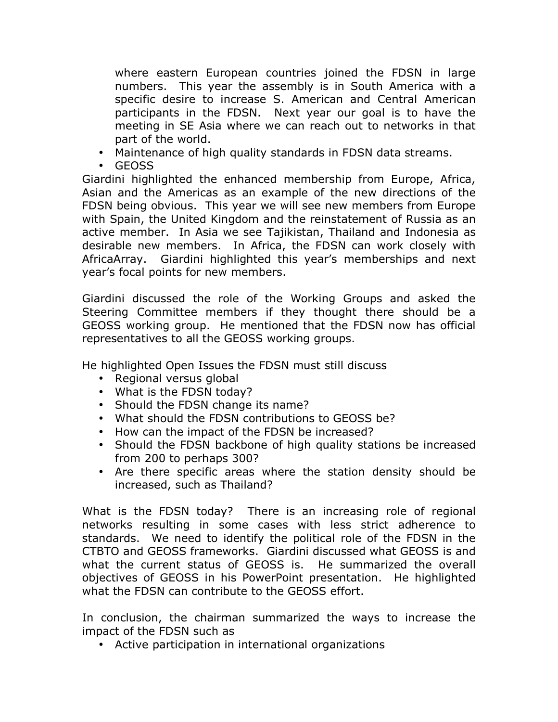where eastern European countries joined the FDSN in large numbers. This year the assembly is in South America with a specific desire to increase S. American and Central American participants in the FDSN. Next year our goal is to have the meeting in SE Asia where we can reach out to networks in that part of the world.

- Maintenance of high quality standards in FDSN data streams.
- GEOSS

Giardini highlighted the enhanced membership from Europe, Africa, Asian and the Americas as an example of the new directions of the FDSN being obvious. This year we will see new members from Europe with Spain, the United Kingdom and the reinstatement of Russia as an active member. In Asia we see Tajikistan, Thailand and Indonesia as desirable new members. In Africa, the FDSN can work closely with AfricaArray. Giardini highlighted this year's memberships and next year's focal points for new members.

Giardini discussed the role of the Working Groups and asked the Steering Committee members if they thought there should be a GEOSS working group. He mentioned that the FDSN now has official representatives to all the GEOSS working groups.

He highlighted Open Issues the FDSN must still discuss

- Regional versus global
- What is the FDSN today?
- Should the FDSN change its name?
- What should the FDSN contributions to GEOSS be?
- How can the impact of the FDSN be increased?
- Should the FDSN backbone of high quality stations be increased from 200 to perhaps 300?
- Are there specific areas where the station density should be increased, such as Thailand?

What is the FDSN today? There is an increasing role of regional networks resulting in some cases with less strict adherence to standards. We need to identify the political role of the FDSN in the CTBTO and GEOSS frameworks. Giardini discussed what GEOSS is and what the current status of GEOSS is. He summarized the overall objectives of GEOSS in his PowerPoint presentation. He highlighted what the FDSN can contribute to the GEOSS effort.

In conclusion, the chairman summarized the ways to increase the impact of the FDSN such as

• Active participation in international organizations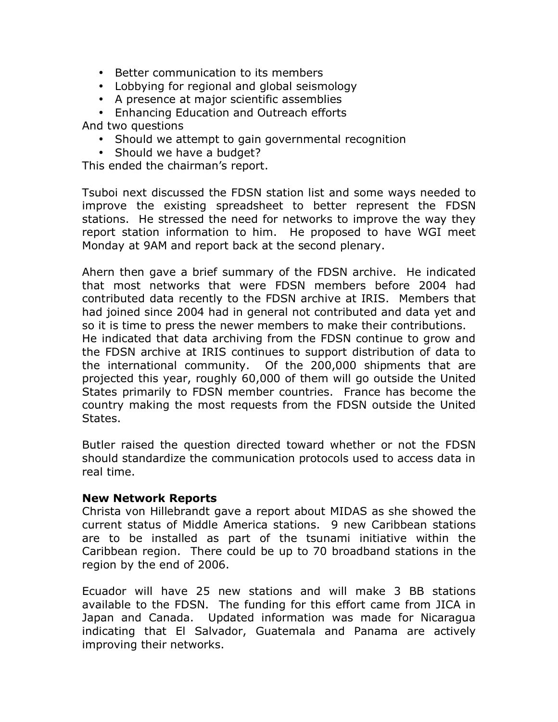- Better communication to its members
- Lobbying for regional and global seismology
- A presence at major scientific assemblies

• Enhancing Education and Outreach efforts

And two questions

- Should we attempt to gain governmental recognition
- Should we have a budget?

This ended the chairman's report.

Tsuboi next discussed the FDSN station list and some ways needed to improve the existing spreadsheet to better represent the FDSN stations. He stressed the need for networks to improve the way they report station information to him. He proposed to have WGI meet Monday at 9AM and report back at the second plenary.

Ahern then gave a brief summary of the FDSN archive. He indicated that most networks that were FDSN members before 2004 had contributed data recently to the FDSN archive at IRIS. Members that had joined since 2004 had in general not contributed and data yet and so it is time to press the newer members to make their contributions. He indicated that data archiving from the FDSN continue to grow and the FDSN archive at IRIS continues to support distribution of data to the international community. Of the 200,000 shipments that are

projected this year, roughly 60,000 of them will go outside the United States primarily to FDSN member countries. France has become the country making the most requests from the FDSN outside the United States.

Butler raised the question directed toward whether or not the FDSN should standardize the communication protocols used to access data in real time.

#### **New Network Reports**

Christa von Hillebrandt gave a report about MIDAS as she showed the current status of Middle America stations. 9 new Caribbean stations are to be installed as part of the tsunami initiative within the Caribbean region. There could be up to 70 broadband stations in the region by the end of 2006.

Ecuador will have 25 new stations and will make 3 BB stations available to the FDSN. The funding for this effort came from JICA in Japan and Canada. Updated information was made for Nicaragua indicating that El Salvador, Guatemala and Panama are actively improving their networks.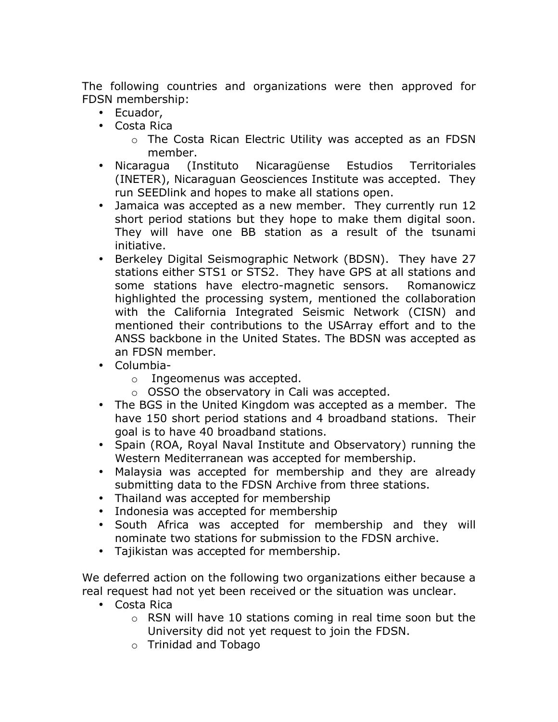The following countries and organizations were then approved for FDSN membership:

- Ecuador,
- Costa Rica
	- o The Costa Rican Electric Utility was accepted as an FDSN member.
- Nicaragua (Instituto Nicaragüense Estudios Territoriales (INETER), Nicaraguan Geosciences Institute was accepted. They run SEEDlink and hopes to make all stations open.
- Jamaica was accepted as a new member. They currently run 12 short period stations but they hope to make them digital soon. They will have one BB station as a result of the tsunami initiative.
- Berkeley Digital Seismographic Network (BDSN). They have 27 stations either STS1 or STS2. They have GPS at all stations and some stations have electro-magnetic sensors. Romanowicz highlighted the processing system, mentioned the collaboration with the California Integrated Seismic Network (CISN) and mentioned their contributions to the USArray effort and to the ANSS backbone in the United States. The BDSN was accepted as an FDSN member.
- Columbia
	- o Ingeomenus was accepted.
	- o OSSO the observatory in Cali was accepted.
- The BGS in the United Kingdom was accepted as a member. The have 150 short period stations and 4 broadband stations. Their goal is to have 40 broadband stations.
- Spain (ROA, Royal Naval Institute and Observatory) running the Western Mediterranean was accepted for membership.
- Malaysia was accepted for membership and they are already submitting data to the FDSN Archive from three stations.
- Thailand was accepted for membership
- Indonesia was accepted for membership
- South Africa was accepted for membership and they will nominate two stations for submission to the FDSN archive.
- Tajikistan was accepted for membership.

We deferred action on the following two organizations either because a real request had not yet been received or the situation was unclear.

- Costa Rica
	- o RSN will have 10 stations coming in real time soon but the University did not yet request to join the FDSN.
	- o Trinidad and Tobago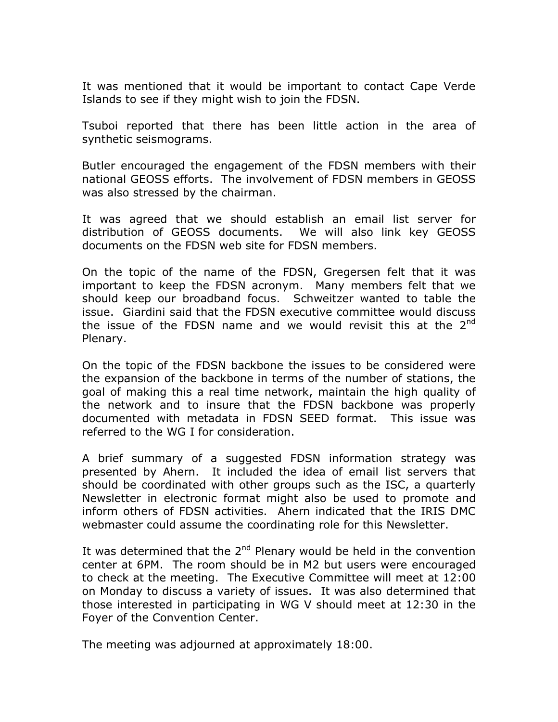It was mentioned that it would be important to contact Cape Verde Islands to see if they might wish to join the FDSN.

Tsuboi reported that there has been little action in the area of synthetic seismograms.

Butler encouraged the engagement of the FDSN members with their national GEOSS efforts. The involvement of FDSN members in GEOSS was also stressed by the chairman.

It was agreed that we should establish an email list server for distribution of GEOSS documents. We will also link key GEOSS documents on the FDSN web site for FDSN members.

On the topic of the name of the FDSN, Gregersen felt that it was important to keep the FDSN acronym. Many members felt that we should keep our broadband focus. Schweitzer wanted to table the issue. Giardini said that the FDSN executive committee would discuss the issue of the FDSN name and we would revisit this at the  $2^{nd}$ Plenary.

On the topic of the FDSN backbone the issues to be considered were the expansion of the backbone in terms of the number of stations, the goal of making this a real time network, maintain the high quality of the network and to insure that the FDSN backbone was properly documented with metadata in FDSN SEED format. This issue was referred to the WG I for consideration.

A brief summary of a suggested FDSN information strategy was presented by Ahern. It included the idea of email list servers that should be coordinated with other groups such as the ISC, a quarterly Newsletter in electronic format might also be used to promote and inform others of FDSN activities. Ahern indicated that the IRIS DMC webmaster could assume the coordinating role for this Newsletter.

It was determined that the  $2<sup>nd</sup>$  Plenary would be held in the convention center at 6PM. The room should be in M2 but users were encouraged to check at the meeting. The Executive Committee will meet at 12:00 on Monday to discuss a variety of issues. It was also determined that those interested in participating in WG V should meet at 12:30 in the Foyer of the Convention Center.

The meeting was adjourned at approximately 18:00.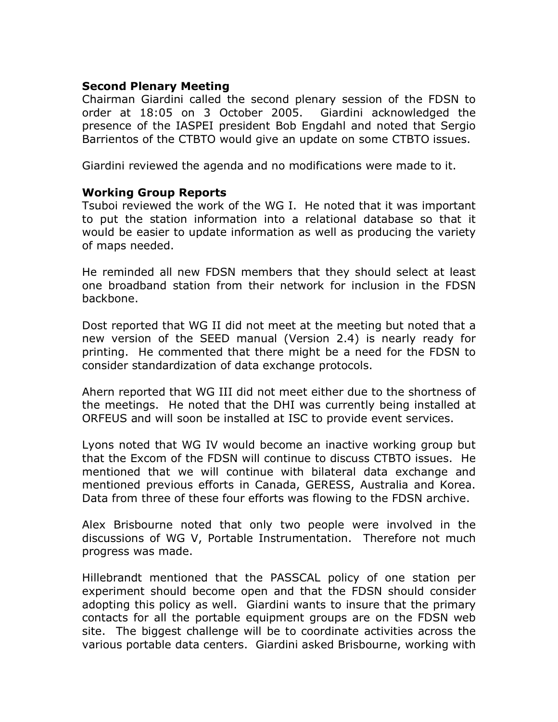#### **Second Plenary Meeting**

Chairman Giardini called the second plenary session of the FDSN to order at 18:05 on 3 October 2005. Giardini acknowledged the presence of the IASPEI president Bob Engdahl and noted that Sergio Barrientos of the CTBTO would give an update on some CTBTO issues.

Giardini reviewed the agenda and no modifications were made to it.

#### **Working Group Reports**

Tsuboi reviewed the work of the WG I. He noted that it was important to put the station information into a relational database so that it would be easier to update information as well as producing the variety of maps needed.

He reminded all new FDSN members that they should select at least one broadband station from their network for inclusion in the FDSN backbone.

Dost reported that WG II did not meet at the meeting but noted that a new version of the SEED manual (Version 2.4) is nearly ready for printing. He commented that there might be a need for the FDSN to consider standardization of data exchange protocols.

Ahern reported that WG III did not meet either due to the shortness of the meetings. He noted that the DHI was currently being installed at ORFEUS and will soon be installed at ISC to provide event services.

Lyons noted that WG IV would become an inactive working group but that the Excom of the FDSN will continue to discuss CTBTO issues. He mentioned that we will continue with bilateral data exchange and mentioned previous efforts in Canada, GERESS, Australia and Korea. Data from three of these four efforts was flowing to the FDSN archive.

Alex Brisbourne noted that only two people were involved in the discussions of WG V, Portable Instrumentation. Therefore not much progress was made.

Hillebrandt mentioned that the PASSCAL policy of one station per experiment should become open and that the FDSN should consider adopting this policy as well. Giardini wants to insure that the primary contacts for all the portable equipment groups are on the FDSN web site. The biggest challenge will be to coordinate activities across the various portable data centers. Giardini asked Brisbourne, working with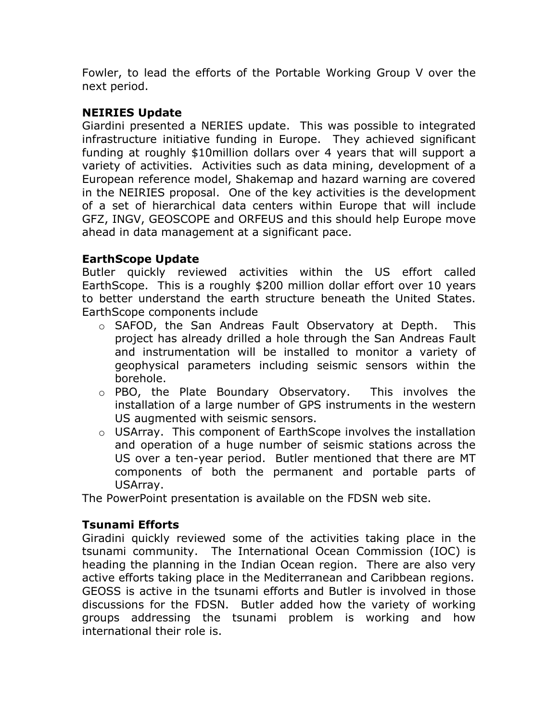Fowler, to lead the efforts of the Portable Working Group V over the next period.

# **NEIRIES Update**

Giardini presented a NERIES update. This was possible to integrated infrastructure initiative funding in Europe. They achieved significant funding at roughly \$10million dollars over 4 years that will support a variety of activities. Activities such as data mining, development of a European reference model, Shakemap and hazard warning are covered in the NEIRIES proposal. One of the key activities is the development of a set of hierarchical data centers within Europe that will include GFZ, INGV, GEOSCOPE and ORFEUS and this should help Europe move ahead in data management at a significant pace.

### **EarthScope Update**

Butler quickly reviewed activities within the US effort called EarthScope. This is a roughly \$200 million dollar effort over 10 years to better understand the earth structure beneath the United States. EarthScope components include

- o SAFOD, the San Andreas Fault Observatory at Depth. This project has already drilled a hole through the San Andreas Fault and instrumentation will be installed to monitor a variety of geophysical parameters including seismic sensors within the borehole.
- o PBO, the Plate Boundary Observatory. This involves the installation of a large number of GPS instruments in the western US augmented with seismic sensors.
- o USArray. This component of EarthScope involves the installation and operation of a huge number of seismic stations across the US over a ten-year period. Butler mentioned that there are MT components of both the permanent and portable parts of USArray.

The PowerPoint presentation is available on the FDSN web site.

# **Tsunami Efforts**

Giradini quickly reviewed some of the activities taking place in the tsunami community. The International Ocean Commission (IOC) is heading the planning in the Indian Ocean region. There are also very active efforts taking place in the Mediterranean and Caribbean regions. GEOSS is active in the tsunami efforts and Butler is involved in those discussions for the FDSN. Butler added how the variety of working groups addressing the tsunami problem is working and how international their role is.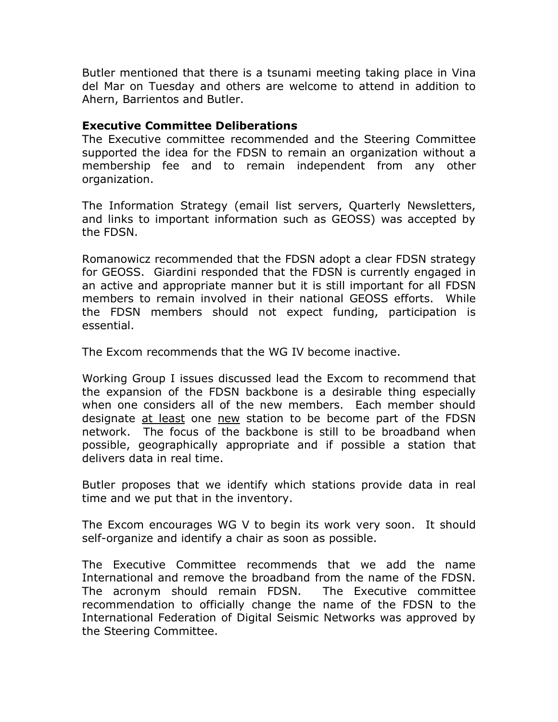Butler mentioned that there is a tsunami meeting taking place in Vina del Mar on Tuesday and others are welcome to attend in addition to Ahern, Barrientos and Butler.

### **Executive Committee Deliberations**

The Executive committee recommended and the Steering Committee supported the idea for the FDSN to remain an organization without a membership fee and to remain independent from any other organization.

The Information Strategy (email list servers, Quarterly Newsletters, and links to important information such as GEOSS) was accepted by the FDSN.

Romanowicz recommended that the FDSN adopt a clear FDSN strategy for GEOSS. Giardini responded that the FDSN is currently engaged in an active and appropriate manner but it is still important for all FDSN members to remain involved in their national GEOSS efforts. While the FDSN members should not expect funding, participation is essential.

The Excom recommends that the WG IV become inactive.

Working Group I issues discussed lead the Excom to recommend that the expansion of the FDSN backbone is a desirable thing especially when one considers all of the new members. Each member should designate at least one new station to be become part of the FDSN network. The focus of the backbone is still to be broadband when possible, geographically appropriate and if possible a station that delivers data in real time.

Butler proposes that we identify which stations provide data in real time and we put that in the inventory.

The Excom encourages WG V to begin its work very soon. It should self-organize and identify a chair as soon as possible.

The Executive Committee recommends that we add the name International and remove the broadband from the name of the FDSN. The acronym should remain FDSN. The Executive committee recommendation to officially change the name of the FDSN to the International Federation of Digital Seismic Networks was approved by the Steering Committee.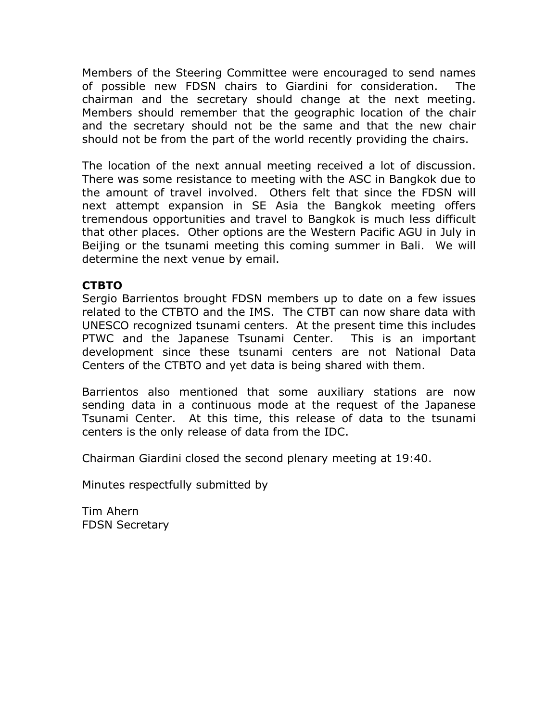Members of the Steering Committee were encouraged to send names of possible new FDSN chairs to Giardini for consideration. The chairman and the secretary should change at the next meeting. Members should remember that the geographic location of the chair and the secretary should not be the same and that the new chair should not be from the part of the world recently providing the chairs.

The location of the next annual meeting received a lot of discussion. There was some resistance to meeting with the ASC in Bangkok due to the amount of travel involved. Others felt that since the FDSN will next attempt expansion in SE Asia the Bangkok meeting offers tremendous opportunities and travel to Bangkok is much less difficult that other places. Other options are the Western Pacific AGU in July in Beijing or the tsunami meeting this coming summer in Bali. We will determine the next venue by email.

### **CTBTO**

Sergio Barrientos brought FDSN members up to date on a few issues related to the CTBTO and the IMS. The CTBT can now share data with UNESCO recognized tsunami centers. At the present time this includes PTWC and the Japanese Tsunami Center. This is an important development since these tsunami centers are not National Data Centers of the CTBTO and yet data is being shared with them.

Barrientos also mentioned that some auxiliary stations are now sending data in a continuous mode at the request of the Japanese Tsunami Center. At this time, this release of data to the tsunami centers is the only release of data from the IDC.

Chairman Giardini closed the second plenary meeting at 19:40.

Minutes respectfully submitted by

Tim Ahern FDSN Secretary